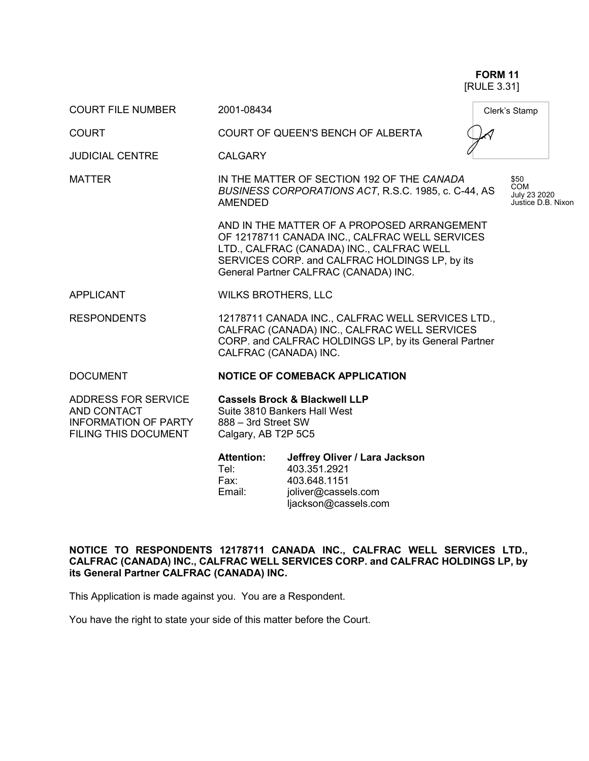**FORM 11** [RULE 3.31]

| <b>COURT FILE NUMBER</b>                                                                                       | 2001-08434                                                                                                                                                                                                                            |                                                               |  | Clerk's Stamp |  |
|----------------------------------------------------------------------------------------------------------------|---------------------------------------------------------------------------------------------------------------------------------------------------------------------------------------------------------------------------------------|---------------------------------------------------------------|--|---------------|--|
| <b>COURT</b>                                                                                                   |                                                                                                                                                                                                                                       | <b>COURT OF QUEEN'S BENCH OF ALBERTA</b>                      |  |               |  |
| <b>JUDICIAL CENTRE</b>                                                                                         | <b>CALGARY</b>                                                                                                                                                                                                                        |                                                               |  |               |  |
| <b>MATTER</b>                                                                                                  | IN THE MATTER OF SECTION 192 OF THE CANADA<br>\$50<br><b>COM</b><br>BUSINESS CORPORATIONS ACT, R.S.C. 1985, c. C-44, AS<br>July 23 2020<br>Justice D.B. Nixon<br><b>AMENDED</b>                                                       |                                                               |  |               |  |
|                                                                                                                | AND IN THE MATTER OF A PROPOSED ARRANGEMENT<br>OF 12178711 CANADA INC., CALFRAC WELL SERVICES<br>LTD., CALFRAC (CANADA) INC., CALFRAC WELL<br>SERVICES CORP. and CALFRAC HOLDINGS LP, by its<br>General Partner CALFRAC (CANADA) INC. |                                                               |  |               |  |
| APPLICANT                                                                                                      | <b>WILKS BROTHERS, LLC</b>                                                                                                                                                                                                            |                                                               |  |               |  |
| <b>RESPONDENTS</b>                                                                                             | 12178711 CANADA INC., CALFRAC WELL SERVICES LTD.,<br>CALFRAC (CANADA) INC., CALFRAC WELL SERVICES<br>CORP. and CALFRAC HOLDINGS LP, by its General Partner<br>CALFRAC (CANADA) INC.                                                   |                                                               |  |               |  |
| <b>DOCUMENT</b>                                                                                                |                                                                                                                                                                                                                                       | <b>NOTICE OF COMEBACK APPLICATION</b>                         |  |               |  |
| <b>ADDRESS FOR SERVICE</b><br><b>AND CONTACT</b><br><b>INFORMATION OF PARTY</b><br><b>FILING THIS DOCUMENT</b> | <b>Cassels Brock &amp; Blackwell LLP</b><br>Suite 3810 Bankers Hall West<br>888 - 3rd Street SW<br>Calgary, AB T2P 5C5                                                                                                                |                                                               |  |               |  |
|                                                                                                                | <b>Attention:</b><br>Tel:<br>Fax:                                                                                                                                                                                                     | Jeffrey Oliver / Lara Jackson<br>403.351.2921<br>403.648.1151 |  |               |  |

**NOTICE TO RESPONDENTS 12178711 CANADA INC., CALFRAC WELL SERVICES LTD., CALFRAC (CANADA) INC., CALFRAC WELL SERVICES CORP. and CALFRAC HOLDINGS LP, by its General Partner CALFRAC (CANADA) INC.**

Email: joliver@cassels.com

ljackson@cassels.com

This Application is made against you. You are a Respondent.

You have the right to state your side of this matter before the Court.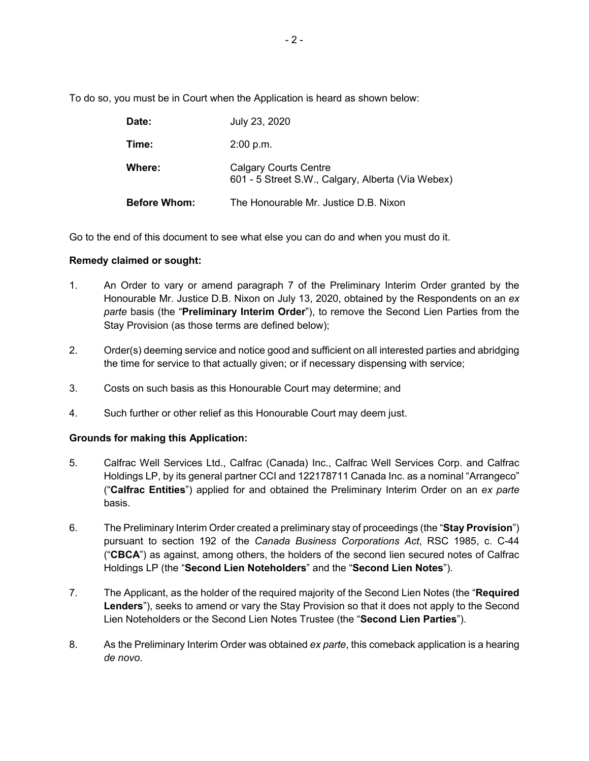To do so, you must be in Court when the Application is heard as shown below:

| Date:               | July 23, 2020                                                                     |
|---------------------|-----------------------------------------------------------------------------------|
| Time:               | 2:00 p.m.                                                                         |
| Where:              | <b>Calgary Courts Centre</b><br>601 - 5 Street S.W., Calgary, Alberta (Via Webex) |
| <b>Before Whom:</b> | The Honourable Mr. Justice D.B. Nixon                                             |

Go to the end of this document to see what else you can do and when you must do it.

### **Remedy claimed or sought:**

- 1. An Order to vary or amend paragraph 7 of the Preliminary Interim Order granted by the Honourable Mr. Justice D.B. Nixon on July 13, 2020, obtained by the Respondents on an *ex parte* basis (the "**Preliminary Interim Order**"), to remove the Second Lien Parties from the Stay Provision (as those terms are defined below);
- 2. Order(s) deeming service and notice good and sufficient on all interested parties and abridging the time for service to that actually given; or if necessary dispensing with service;
- 3. Costs on such basis as this Honourable Court may determine; and
- 4. Such further or other relief as this Honourable Court may deem just.

#### **Grounds for making this Application:**

- 5. Calfrac Well Services Ltd., Calfrac (Canada) Inc., Calfrac Well Services Corp. and Calfrac Holdings LP, by its general partner CCI and 122178711 Canada Inc. as a nominal "Arrangeco" ("**Calfrac Entities**") applied for and obtained the Preliminary Interim Order on an *ex parte* basis.
- 6. The Preliminary Interim Order created a preliminary stay of proceedings (the "**Stay Provision**") pursuant to section 192 of the *Canada Business Corporations Act*, RSC 1985, c. C-44 ("**CBCA**") as against, among others, the holders of the second lien secured notes of Calfrac Holdings LP (the "**Second Lien Noteholders**" and the "**Second Lien Notes**").
- 7. The Applicant, as the holder of the required majority of the Second Lien Notes (the "**Required Lenders**"), seeks to amend or vary the Stay Provision so that it does not apply to the Second Lien Noteholders or the Second Lien Notes Trustee (the "**Second Lien Parties**").
- 8. As the Preliminary Interim Order was obtained *ex parte*, this comeback application is a hearing *de novo*.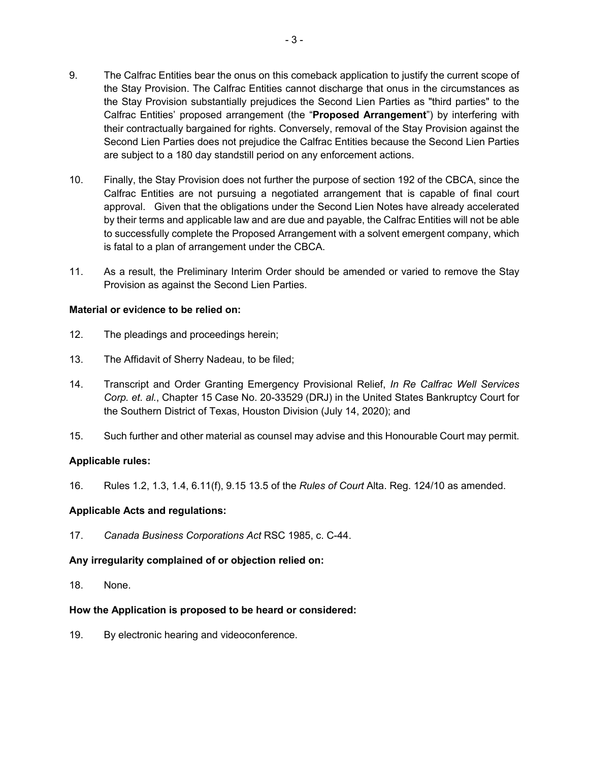- 9. The Calfrac Entities bear the onus on this comeback application to justify the current scope of the Stay Provision. The Calfrac Entities cannot discharge that onus in the circumstances as the Stay Provision substantially prejudices the Second Lien Parties as "third parties" to the Calfrac Entities' proposed arrangement (the "**Proposed Arrangement**") by interfering with their contractually bargained for rights. Conversely, removal of the Stay Provision against the Second Lien Parties does not prejudice the Calfrac Entities because the Second Lien Parties are subject to a 180 day standstill period on any enforcement actions.
- 10. Finally, the Stay Provision does not further the purpose of section 192 of the CBCA, since the Calfrac Entities are not pursuing a negotiated arrangement that is capable of final court approval. Given that the obligations under the Second Lien Notes have already accelerated by their terms and applicable law and are due and payable, the Calfrac Entities will not be able to successfully complete the Proposed Arrangement with a solvent emergent company, which is fatal to a plan of arrangement under the CBCA.
- 11. As a result, the Preliminary Interim Order should be amended or varied to remove the Stay Provision as against the Second Lien Parties.

### **Material or evi**d**ence to be relied on:**

- 12. The pleadings and proceedings herein;
- 13. The Affidavit of Sherry Nadeau, to be filed;
- 14. Transcript and Order Granting Emergency Provisional Relief, *In Re Calfrac Well Services Corp. et. al.*, Chapter 15 Case No. 20-33529 (DRJ) in the United States Bankruptcy Court for the Southern District of Texas, Houston Division (July 14, 2020); and
- 15. Such further and other material as counsel may advise and this Honourable Court may permit.

#### **Applicable rules:**

16. Rules 1.2, 1.3, 1.4, 6.11(f), 9.15 13.5 of the *Rules of Court* Alta. Reg. 124/10 as amended.

#### **Applicable Acts and regulations:**

17. *Canada Business Corporations Act* RSC 1985, c. C-44.

# **Any irregularity complained of or objection relied on:**

18. None.

# **How the Application is proposed to be heard or considered:**

19. By electronic hearing and videoconference.